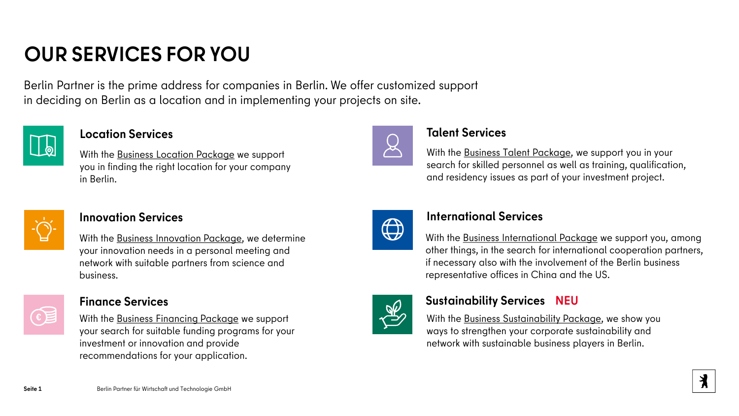## **OUR SERVICES FOR YOU**

Berlin Partner is the prime address for companies in Berlin. We offer customized support in deciding on Berlin as a location and in implementing your projects on site.



With the [Business Location Package](https://www.businesslocationcenter.de/unsere-leistungen/businesspackages/location-package/) we support you in finding the right location for your company in Berlin.



**Innovation Services**<br>With the Business Innovation Package, we determine<br>With the Business Internation With the [Business Innovation Package,](https://www.businesslocationcenter.de/unsere-leistungen/businesspackages/innovation-package/) we determine your innovation needs in a personal meeting and network with suitable partners from science and business.



### **Finance Services**

With the [Business Financing Package](https://www.businesslocationcenter.de/unsere-leistungen/businesspackages/financing-package/) we support your search for suitable funding programs for your investment or innovation and provide recommendations for your application.



### **Location Services Talent Services**

With the [Business Talent Package,](https://www.businesslocationcenter.de/unsere-leistungen/businesspackages/talent-package/) we support you in your search for skilled personnel as well as training, qualification, and residency issues as part of your investment project.



With the [Business International Package](https://www.businesslocationcenter.de/unsere-leistungen-fuer-ihr-unternehmen/service-packages/international-package/) we support you, among other things, in the search for international cooperation partners, if necessary also with the involvement of the Berlin business representative offices in China and the US.



### **Sustainability Services NEU**

With the [Business Sustainability Package,](https://berlin-partner.de/nachhaltigkeit) we show you ways to strengthen your corporate sustainability and network with sustainable business players in Berlin.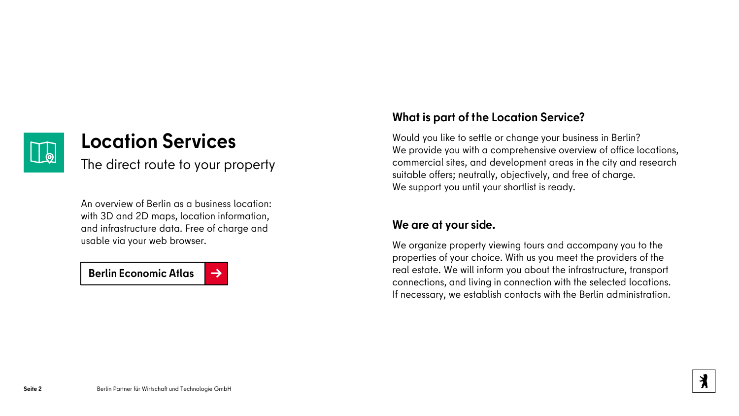

## **Location Services**

The direct route to your property

An overview of Berlin as a business location: with 3D and 2D maps, location information, and infrastructure data. Free of charge and usable via your web browser.

**[Berlin Economic Atlas](https://www.businesslocationcenter.de/wirtschaftsatlas/) [→](https://www.businesslocationcenter.de/wirtschaftsatlas/)** 

### **What is part of the Location Service?**

Would you like to settle or change your business in Berlin? We provide you with a comprehensive overview of office locations, commercial sites, and development areas in the city and research suitable offers; neutrally, objectively, and free of charge. We support you until your shortlist is ready.

### **We are at your side.**

We organize property viewing tours and accompany you to the properties of your choice. With us you meet the providers of the real estate. We will inform you about the infrastructure, transport connections, and living in connection with the selected locations. If necessary, we establish contacts with the Berlin administration.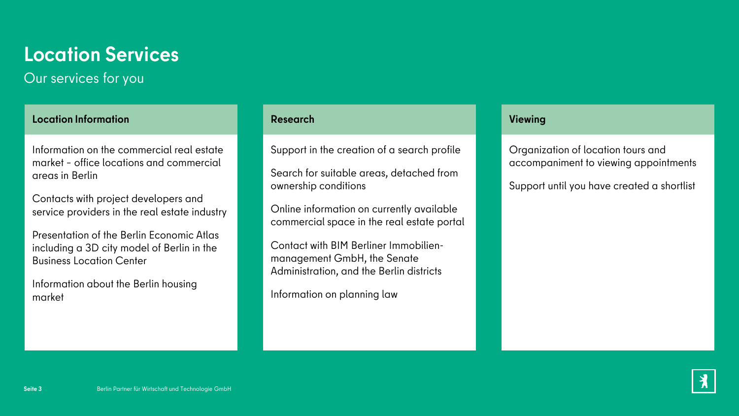## **Location Services**

## Our services for you

#### **Location Information Research Viewing**

Information on the commercial real estate market – office locations and commercial areas in Berlin

Contacts with project developers and service providers in the real estate industry

Presentation of the Berlin Economic Atlas including a 3D city model of Berlin in the Business Location Center

Information about the Berlin housing market

Support in the creation of a search profile

Search for suitable areas, detached from ownership conditions

Online information on currently available commercial space in the real estate portal

Contact with BIM Berliner Immobilienmanagement GmbH, the Senate Administration, and the Berlin districts

Information on planning law

Organization of location tours and accompaniment to viewing appointments

Support until you have created a shortlist

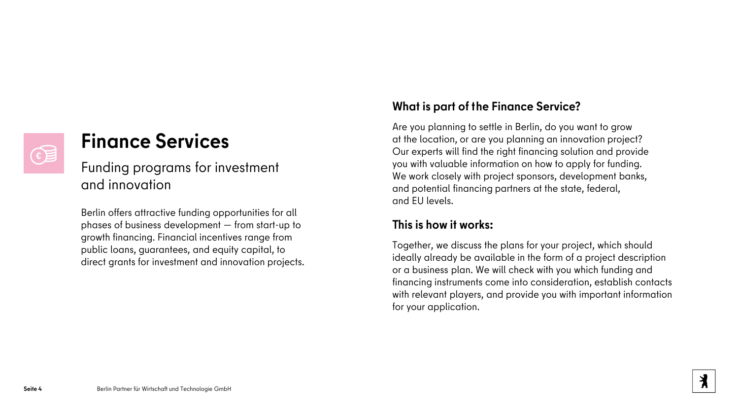# €

## **Finance Services**

Funding programs for investment and innovation

Berlin offers attractive funding opportunities for all phases of business development — from start-up to growth financing. Financial incentives range from public loans, guarantees, and equity capital, to direct grants for investment and innovation projects.

### **What is part of the Finance Service?**

Are you planning to settle in Berlin, do you want to grow at the location, or are you planning an innovation project? Our experts will find the right financing solution and provide you with valuable information on how to apply for funding. We work closely with project sponsors, development banks, and potential financing partners at the state, federal, and EU levels.

### **This is how it works:**

Together, we discuss the plans for your project, which should ideally already be available in the form of a project description or a business plan. We will check with you which funding and financing instruments come into consideration, establish contacts with relevant players, and provide you with important information for your application.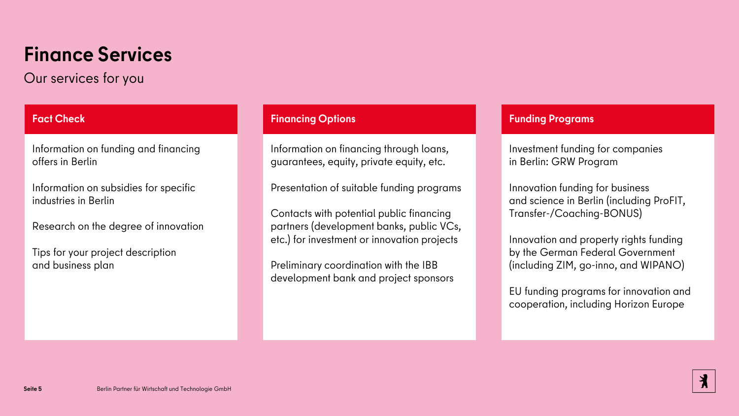## **Finance Services**

Our services for you

Information on funding and financing offers in Berlin

Information on subsidies for specific industries in Berlin

Research on the degree of innovation

Tips for your project description and business plan

#### **Fact Check Financing Options Funding Programs**

Information on financing through loans, guarantees, equity, private equity, etc.

Presentation of suitable funding programs

Contacts with potential public financing partners (development banks, public VCs, etc.) for investment or innovation projects

Preliminary coordination with the IBB development bank and project sponsors

Investment funding for companies in Berlin: GRW Program

Innovation funding for business and science in Berlin (including ProFIT, Transfer-/Coaching-BONUS)

Innovation and property rights funding by the German Federal Government (including ZIM, go-inno, and WIPANO)

EU funding programs for innovation and cooperation, including Horizon Europe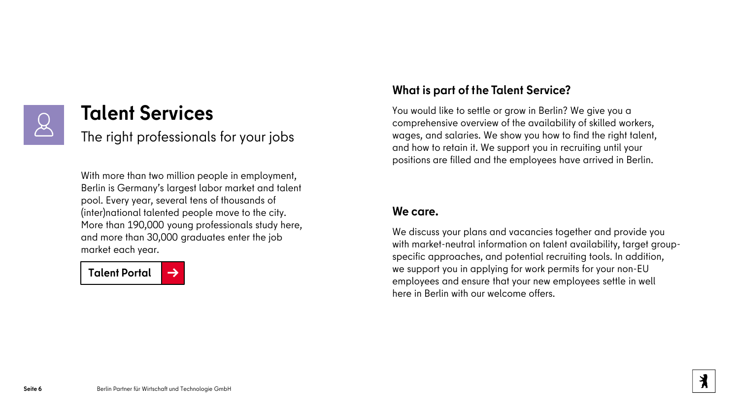

## **Talent Services**

The right professionals for your jobs

With more than two million people in employment, Berlin is Germany's largest labor market and talent pool. Every year, several tens of thousands of (inter)national talented people move to the city. More than 190,000 young professionals study here, and more than 30,000 graduates enter the job market each year.



### **What is part of the Talent Service?**

You would like to settle or grow in Berlin? We give you a comprehensive overview of the availability of skilled workers, wages, and salaries. We show you how to find the right talent, and how to retain it. We support you in recruiting until your positions are filled and the employees have arrived in Berlin.

#### **We care.**

We discuss your plans and vacancies together and provide you with market-neutral information on talent availability, target groupspecific approaches, and potential recruiting tools. In addition, we support you in applying for work permits for your non-EU employees and ensure that your new employees settle in well here in Berlin with our welcome offers.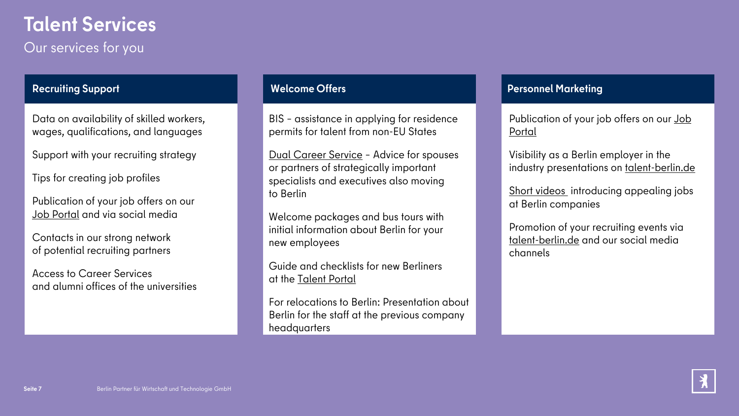# **Talent Services**

Our services for you

Data on availability of skilled workers, wages, qualifications, and languages

Support with your recruiting strategy

Tips for creating job profiles

Publication of your job offers on our [Job Portal](https://www.talent-berlin.de/jobs/jobsuche) and via social media

Contacts in our strong network of potential recruiting partners

Access to Career Services and alumni offices of the universities

BIS – assistance in applying for residence permits for talent from non-EU States

[Dual Career Service](https://www.dualcareer-berlin.de/) – Advice for spouses or partners of strategically important specialists and executives also moving to Berlin

Welcome packages and bus tours with initial information about Berlin for your new employees

Guide and checklists for new Berliners at the [Talent Portal](https://www.talent-berlin.de/ankommen)

For relocations to Berlin: Presentation about Berlin for the staff at the previous company headquarters

### **Recruiting Support Welcome Offers Personnel Marketing**

[Publication of your job offers on our Job](https://www.talent-berlin.de/jobs/jobsuche)  Portal

Visibility as a Berlin employer in the industry presentations on [talent-berlin.de](http://www.talent-berlin.de/)

[Short videos](https://www.talent-berlin.de/magazin/berlinjobs) introducing appealing jobs at Berlin companies

Promotion of your recruiting events via [talent-berlin.de](https://www.talent-berlin.de/magazin/jobevents) and our social media channels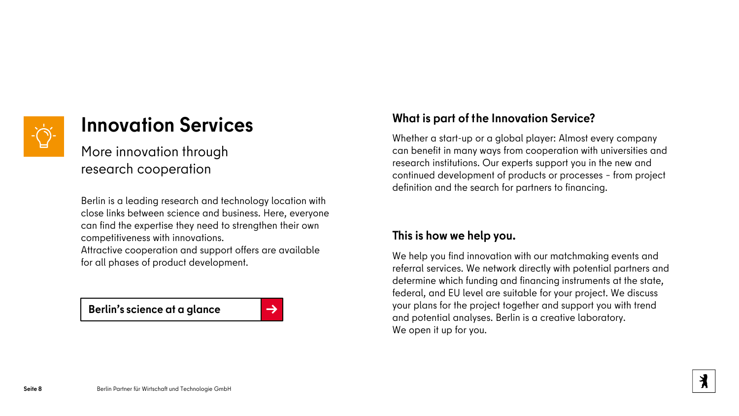

## **Innovation Services**

More innovation through research cooperation

Berlin is a leading research and technology location with close links between science and business. Here, everyone can find the expertise they need to strengthen their own competitiveness with innovations.

Attractive cooperation and support offers are available for all phases of product development.

**[Berlin's science at a glance](https://www.businesslocationcenter.de/wissenschaft/)** [→](https://www.businesslocationcenter.de/wissenschaft/)

### **What is part of the Innovation Service?**

Whether a start-up or a global player: Almost every company can benefit in many ways from cooperation with universities and research institutions. Our experts support you in the new and continued development of products or processes – from project definition and the search for partners to financing.

#### **This is how we help you.**

We help you find innovation with our matchmaking events and referral services. We network directly with potential partners and determine which funding and financing instruments at the state, federal, and EU level are suitable for your project. We discuss your plans for the project together and support you with trend and potential analyses. Berlin is a creative laboratory. We open it up for you.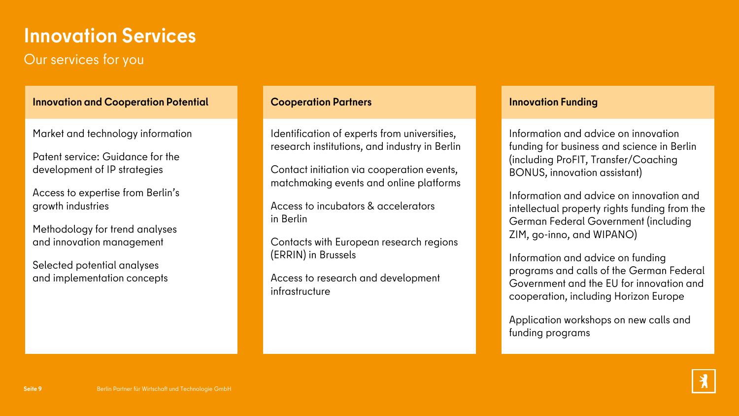## **Innovation Services**

### Our services for you

#### **Innovation and Cooperation Potential Cooperation Partners Innovation Funding**

Market and technology information

Patent service: Guidance for the development of IP strategies

Access to expertise from Berlin's growth industries

Methodology for trend analyses and innovation management

Selected potential analyses and implementation concepts

Identification of experts from universities, research institutions, and industry in Berlin

Contact initiation via cooperation events, matchmaking events and online platforms

Access to incubators & accelerators in Berlin

Contacts with European research regions (ERRIN) in Brussels

Access to research and development infrastructure

Information and advice on innovation funding for business and science in Berlin (including ProFIT, Transfer/Coaching BONUS, innovation assistant)

Information and advice on innovation and intellectual property rights funding from the German Federal Government (including ZIM, go-inno, and WIPANO)

Information and advice on funding programs and calls of the German Federal Government and the EU for innovation and cooperation, including Horizon Europe

Application workshops on new calls and funding programs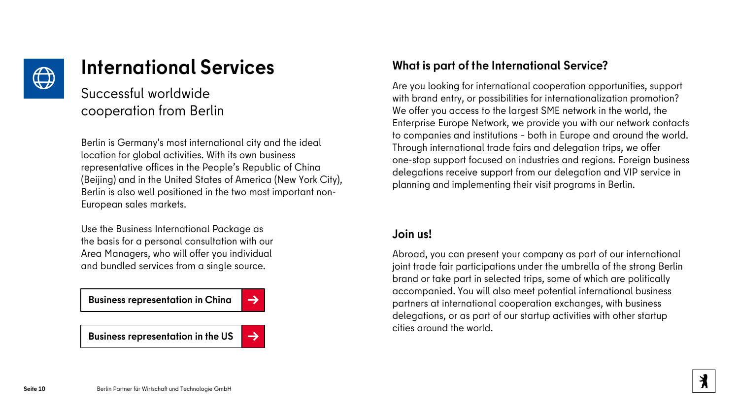

## **International Services**

### Successful worldwide cooperation from Berlin

Berlin is Germany's most international city and the ideal location for global activities. With its own business representative offices in the People's Republic of China (Beijing) and in the United States of America (New York City), Berlin is also well positioned in the two most important non-European sales markets.

Use the Business International Package as the basis for a personal consultation with our Area Managers, who will offer you individual and bundled services from a single source.

**[Business representation in China](https://www.businesslocationcenter.de/unsere-leistungen-fuer-ihr-unternehmen/internationalisierung/wirtschaftsvertretung-in-china/) [→](https://www.businesslocationcenter.de/unsere-leistungen-fuer-ihr-unternehmen/internationalisierung/wirtschaftsvertretung-in-china/)** 

**[Business representation in the US](https://www.businesslocationcenter.de/unsere-leistungen-fuer-ihr-unternehmen/internationalisierung/wirtschaftsvertretung-in-den-usa/)**  $\rightarrow$ 



### **What is part of the International Service?**

Are you looking for international cooperation opportunities, support with brand entry, or possibilities for internationalization promotion? We offer you access to the largest SME network in the world, the Enterprise Europe Network, we provide you with our network contacts to companies and institutions – both in Europe and around the world. Through international trade fairs and delegation trips, we offer one-stop support focused on industries and regions. Foreign business delegations receive support from our delegation and VIP service in planning and implementing their visit programs in Berlin.

### **Join us!**

Abroad, you can present your company as part of our international joint trade fair participations under the umbrella of the strong Berlin brand or take part in selected trips, some of which are politically accompanied. You will also meet potential international business partners at international cooperation exchanges, with business delegations, or as part of our startup activities with other startup cities around the world.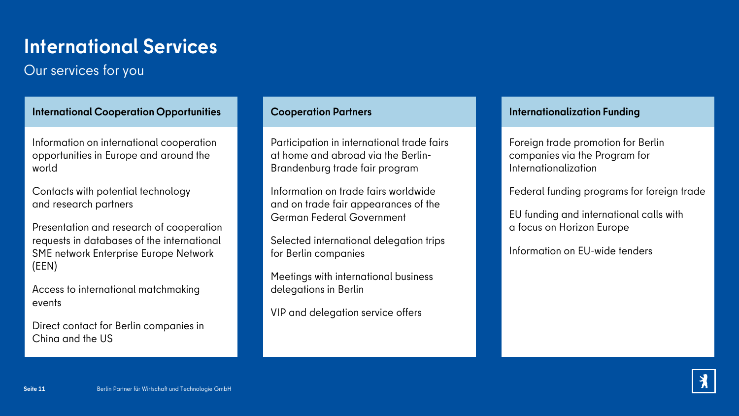## **International Services**

## Our services for you

**International Cooperation Opportunities Cooperation Partners Internationalization Funding**

Information on international cooperation opportunities in Europe and around the world

Contacts with potential technology and research partners

Presentation and research of cooperation requests in databases of the international SME network Enterprise Europe Network (EEN)

Access to international matchmaking events

Direct contact for Berlin companies in China and the US

Participation in international trade fairs at home and abroad via the Berlin-Brandenburg trade fair program

Information on trade fairs worldwide and on trade fair appearances of the German Federal Government

Selected international delegation trips for Berlin companies

Meetings with international business delegations in Berlin

VIP and delegation service offers

Foreign trade promotion for Berlin companies via the Program for Internationalization

Federal funding programs for foreign trade

EU funding and international calls with a focus on Horizon Europe

Information on EU-wide tenders

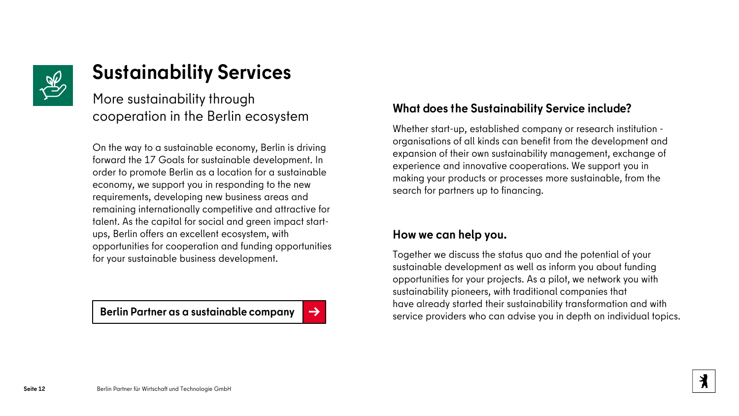

## **Sustainability Services**

More sustainability through cooperation in the Berlin ecosystem

On the way to a sustainable economy, Berlin is driving forward the 17 Goals for sustainable development. In order to promote Berlin as a location for a sustainable economy, we support you in responding to the new requirements, developing new business areas and remaining internationally competitive and attractive for talent. As the capital for social and green impact startups, Berlin offers an excellent ecosystem, with opportunities for cooperation and funding opportunities for your sustainable business development.

### **What does the Sustainability Service include?**

Whether start-up, established company or research institution organisations of all kinds can benefit from the development and expansion of their own sustainability management, exchange of experience and innovative cooperations. We support you in making your products or processes more sustainable, from the search for partners up to financing.

### **How we can help you.**

Together we discuss the status quo and the potential of your sustainable development as well as inform you about funding opportunities for your projects. As a pilot, we network you with sustainability pioneers, with traditional companies that have already started their sustainability transformation and with **Serlin Partner as a sustainable company** [→](http://www.berlin-partner.de/nachhaltigkeit)<br>service providers who can advise you in depth on individual topics.